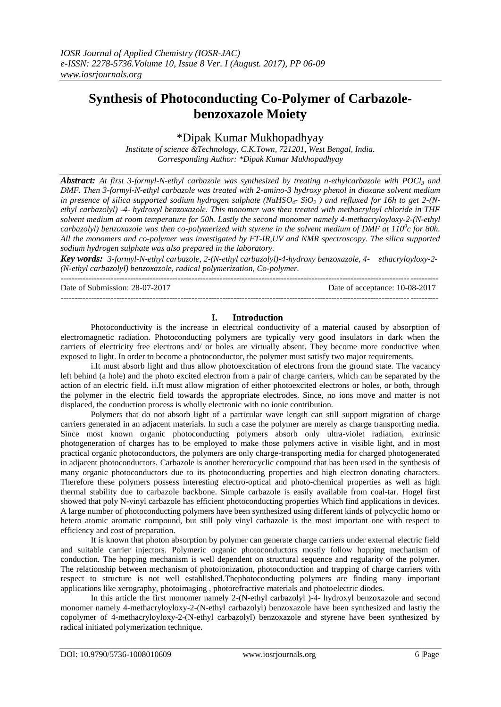# **Synthesis of Photoconducting Co-Polymer of Carbazolebenzoxazole Moiety**

# \*Dipak Kumar Mukhopadhyay

*Institute of science &Technology, C.K.Town, 721201, West Bengal, India. Corresponding Author: \*Dipak Kumar Mukhopadhyay*

*Abstract: At first 3-formyl-N-ethyl carbazole was synthesized by treating n-ethylcarbazole with POCl<sup>3</sup> and DMF. Then 3-formyl-N-ethyl carbazole was treated with 2-amino-3 hydroxy phenol in dioxane solvent medium in presence of silica supported sodium hydrogen sulphate (NaHSO4- SiO<sup>2</sup> ) and refluxed for 16h to get 2-(Nethyl carbazolyl) -4- hydroxyl benzoxazole. This monomer was then treated with methacryloyl chloride in THF solvent medium at room temperature for 50h. Lastly the second monomer namely 4-methacryloyloxy-2-(N-ethyl carbazolyl) benzoxazole was then co-polymerized with styrene in the solvent medium of DMF at 110<sup>0</sup> c for 80h. All the monomers and co-polymer was investigated by FT-IR,UV and NMR spectroscopy. The silica supported sodium hydrogen sulphate was also prepared in the laboratory.*

*Key words: 3-formyl-N-ethyl carbazole, 2-(N-ethyl carbazolyl)-4-hydroxy benzoxazole, 4- ethacryloyloxy-2- (N-ethyl carbazolyl) benzoxazole, radical polymerization, Co-polymer.* ---------------------------------------------------------------------------------------------------------------------------------------

Date of Submission: 28-07-2017 Date of acceptance: 10-08-2017

---------------------------------------------------------------------------------------------------------------------------------------

# **I. Introduction**

Photoconductivity is the increase in electrical conductivity of a material caused by absorption of electromagnetic radiation. Photoconducting polymers are typically very good insulators in dark when the carriers of electricity free electrons and/ or holes are virtually absent. They become more conductive when exposed to light. In order to become a photoconductor, the polymer must satisfy two major requirements.

i.It must absorb light and thus allow photoexcitation of electrons from the ground state. The vacancy left behind (a hole) and the photo excited electron from a pair of charge carriers, which can be separated by the action of an electric field. ii.It must allow migration of either photoexcited electrons or holes, or both, through the polymer in the electric field towards the appropriate electrodes. Since, no ions move and matter is not displaced, the conduction process is wholly electronic with no ionic contribution.

Polymers that do not absorb light of a particular wave length can still support migration of charge carriers generated in an adjacent materials. In such a case the polymer are merely as charge transporting media. Since most known organic photoconducting polymers absorb only ultra-violet radiation, extrinsic photogeneration of charges has to be employed to make those polymers active in visible light, and in most practical organic photoconductors, the polymers are only charge-transporting media for charged photogenerated in adjacent photoconductors. Carbazole is another hererocyclic compound that has been used in the synthesis of many organic photoconductors due to its photoconducting properties and high electron donating characters. Therefore these polymers possess interesting electro-optical and photo-chemical properties as well as high thermal stability due to carbazole backbone. Simple carbazole is easily available from coal-tar. Hogel first showed that poly N-vinyl carbazole has efficient photoconducting properties Which find applications in devices. A large number of photoconducting polymers have been synthesized using different kinds of polycyclic homo or hetero atomic aromatic compound, but still poly vinyl carbazole is the most important one with respect to efficiency and cost of preparation.

It is known that photon absorption by polymer can generate charge carriers under external electric field and suitable carrier injectors. Polymeric organic photoconductors mostly follow hopping mechanism of conduction. The hopping mechanism is well dependent on structural sequence and regularity of the polymer. The relationship between mechanism of photoionization, photoconduction and trapping of charge carriers with respect to structure is not well established.Thephotoconducting polymers are finding many important applications like xerography, photoimaging , photorefractive materials and photoelectric diodes.

In this article the first monomer namely 2-(N-ethyl carbazolyl )-4- hydroxyl benzoxazole and second monomer namely 4-methacryloyloxy-2-(N-ethyl carbazolyl) benzoxazole have been synthesized and lastiy the copolymer of 4-methacryloyloxy-2-(N-ethyl carbazolyl) benzoxazole and styrene have been synthesized by radical initiated polymerization technique.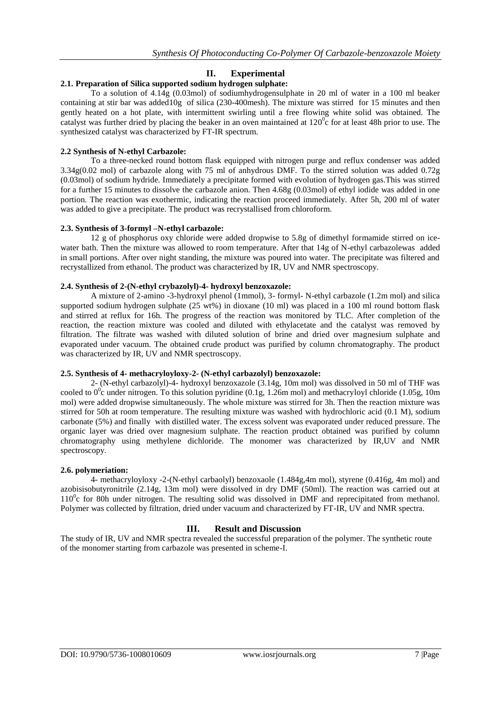# **II. Experimental**

# **2.1. Preparation of Silica supported sodium hydrogen sulphate:**

To a solution of 4.14g (0.03mol) of sodiumhydrogensulphate in 20 ml of water in a 100 ml beaker containing at stir bar was added10g of silica (230-400mesh). The mixture was stirred for 15 minutes and then gently heated on a hot plate, with intermittent swirling until a free flowing white solid was obtained. The catalyst was further dried by placing the beaker in an oven maintained at  $120^{\circ}$ c for at least 48h prior to use. The synthesized catalyst was characterized by FT-IR spectrum.

## **2.2 Synthesis of N-ethyl Carbazole:**

To a three-necked round bottom flask equipped with nitrogen purge and reflux condenser was added 3.34g(0.02 mol) of carbazole along with 75 ml of anhydrous DMF. To the stirred solution was added 0.72g (0.03mol) of sodium hydride. Immediately a precipitate formed with evolution of hydrogen gas.This was stirred for a further 15 minutes to dissolve the carbazole anion. Then 4.68g (0.03mol) of ethyl iodide was added in one portion. The reaction was exothermic, indicating the reaction proceed immediately. After 5h, 200 ml of water was added to give a precipitate. The product was recrystallised from chloroform.

### **2.3. Synthesis of 3-formyl –N-ethyl carbazole:**

12 g of phosphorus oxy chloride were added dropwise to 5.8g of dimethyl formamide stirred on icewater bath. Then the mixture was allowed to room temperature. After that 14g of N-ethyl carbazolewas added in small portions. After over night standing, the mixture was poured into water. The precipitate was filtered and recrystallized from ethanol. The product was characterized by IR, UV and NMR spectroscopy.

# **2.4. Synthesis of 2-(N-ethyl crybazolyl)-4- hydroxyl benzoxazole:**

A mixture of 2-amino -3-hydroxyl phenol (1mmol), 3- formyl- N-ethyl carbazole (1.2m mol) and silica supported sodium hydrogen sulphate (25 wt%) in dioxane (10 ml) was placed in a 100 ml round bottom flask and stirred at reflux for 16h. The progress of the reaction was monitored by TLC. After completion of the reaction, the reaction mixture was cooled and diluted with ethylacetate and the catalyst was removed by filtration. The filtrate was washed with diluted solution of brine and dried over magnesium sulphate and evaporated under vacuum. The obtained crude product was purified by column chromatography. The product was characterized by IR, UV and NMR spectroscopy.

### **2.5. Synthesis of 4- methacryloyloxy-2- (N-ethyl carbazolyl) benzoxazole:**

2- (N-ethyl carbazolyl)-4- hydroxyl benzoxazole (3.14g, 10m mol) was dissolved in 50 ml of THF was cooled to  $0^0$ c under nitrogen. To this solution pyridine (0.1g, 1.26m mol) and methacryloyl chloride (1.05g, 10m mol) were added dropwise simultaneously. The whole mixture was stirred for 3h. Then the reaction mixture was stirred for 50h at room temperature. The resulting mixture was washed with hydrochloric acid (0.1 M), sodium carbonate (5%) and finally with distilled water. The excess solvent was evaporated under reduced pressure. The organic layer was dried over magnesium sulphate. The reaction product obtained was purified by column chromatography using methylene dichloride. The monomer was characterized by IR,UV and NMR spectroscopy.

### **2.6. polymeriation:**

4- methacryloyloxy -2-(N-ethyl carbaolyl) benzoxaole (1.484g,4m mol), styrene (0.416g, 4m mol) and azobisisobutyronitrile (2.14g, 13m mol) were dissolved in dry DMF (50ml). The reaction was carried out at  $110^{\circ}$ c for 80h under nitrogen. The resulting solid was dissolved in DMF and reprecipitated from methanol. Polymer was collected by filtration, dried under vacuum and characterized by FT-IR, UV and NMR spectra.

# **III. Result and Discussion**

The study of IR, UV and NMR spectra revealed the successful preparation of the polymer. The synthetic route of the monomer starting from carbazole was presented in scheme-I.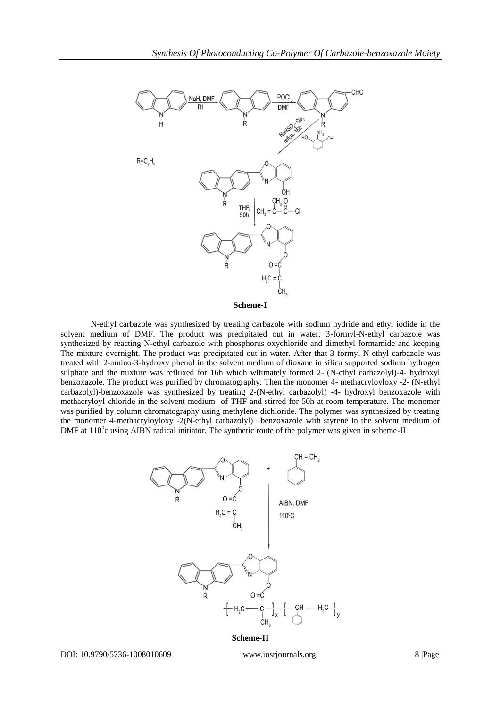

**Scheme-I**

N-ethyl carbazole was synthesized by treating carbazole with sodium hydride and ethyl iodide in the solvent medium of DMF. The product was precipitated out in water. 3-formyl-N-ethyl carbazole was synthesized by reacting N-ethyl carbazole with phosphorus oxychloride and dimethyl formamide and keeping The mixture overnight. The product was precipitated out in water. After that 3-formyl-N-ethyl carbazole was treated with 2-amino-3-hydroxy phenol in the solvent medium of dioxane in silica supported sodium hydrogen sulphate and the mixture was refluxed for 16h which wltimately formed 2- (N-ethyl carbazolyl)-4- hydroxyl benzoxazole. The product was purified by chromatography. Then the monomer 4- methacryloyloxy -2- (N-ethyl carbazolyl)-benzoxazole was synthesized by treating 2-(N-ethyl carbazolyl) -4- hydroxyl benzoxazole with methacryloyl chloride in the solvent medium of THF and stirred for 50h at room temperature. The monomer was purified by column chromatography using methylene dichloride. The polymer was synthesized by treating the monomer 4-methacryloyloxy -2(N-ethyl carbazolyl) –benzoxazole with styrene in the solvent medium of DMF at  $110^{\circ}$ c using AIBN radical initiator. The synthetic route of the polymer was given in scheme-II



**Scheme-II**